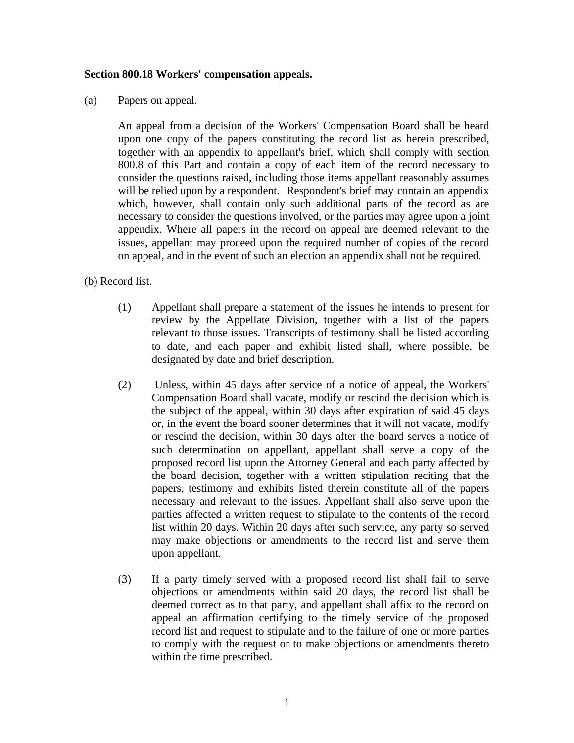## **Section 800.18 Workers' compensation appeals.**

(a) Papers on appeal.

 An appeal from a decision of the Workers' Compensation Board shall be heard upon one copy of the papers constituting the record list as herein prescribed, together with an appendix to appellant's brief, which shall comply with section 800.8 of this Part and contain a copy of each item of the record necessary to consider the questions raised, including those items appellant reasonably assumes will be relied upon by a respondent. Respondent's brief may contain an appendix which, however, shall contain only such additional parts of the record as are necessary to consider the questions involved, or the parties may agree upon a joint appendix. Where all papers in the record on appeal are deemed relevant to the issues, appellant may proceed upon the required number of copies of the record on appeal, and in the event of such an election an appendix shall not be required.

(b) Record list.

- (1) Appellant shall prepare a statement of the issues he intends to present for review by the Appellate Division, together with a list of the papers relevant to those issues. Transcripts of testimony shall be listed according to date, and each paper and exhibit listed shall, where possible, be designated by date and brief description.
- (2) Unless, within 45 days after service of a notice of appeal, the Workers' Compensation Board shall vacate, modify or rescind the decision which is the subject of the appeal, within 30 days after expiration of said 45 days or, in the event the board sooner determines that it will not vacate, modify or rescind the decision, within 30 days after the board serves a notice of such determination on appellant, appellant shall serve a copy of the proposed record list upon the Attorney General and each party affected by the board decision, together with a written stipulation reciting that the papers, testimony and exhibits listed therein constitute all of the papers necessary and relevant to the issues. Appellant shall also serve upon the parties affected a written request to stipulate to the contents of the record list within 20 days. Within 20 days after such service, any party so served may make objections or amendments to the record list and serve them upon appellant.
- (3) If a party timely served with a proposed record list shall fail to serve objections or amendments within said 20 days, the record list shall be deemed correct as to that party, and appellant shall affix to the record on appeal an affirmation certifying to the timely service of the proposed record list and request to stipulate and to the failure of one or more parties to comply with the request or to make objections or amendments thereto within the time prescribed.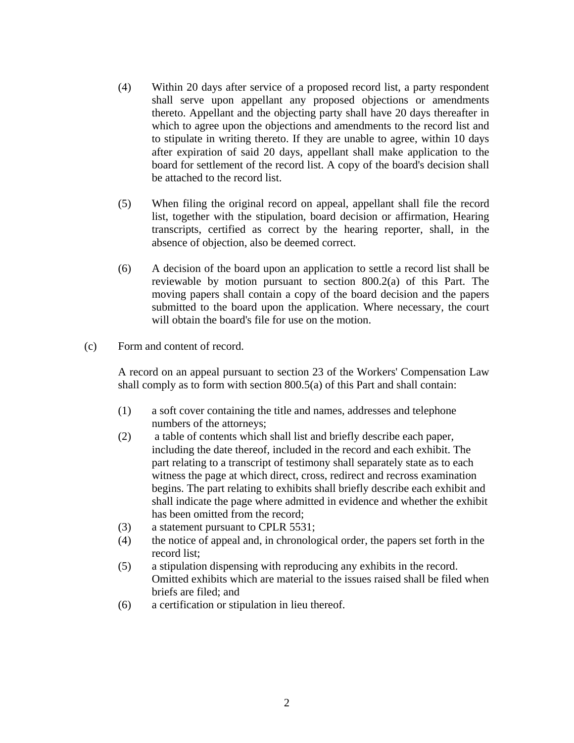- (4) Within 20 days after service of a proposed record list, a party respondent shall serve upon appellant any proposed objections or amendments thereto. Appellant and the objecting party shall have 20 days thereafter in which to agree upon the objections and amendments to the record list and to stipulate in writing thereto. If they are unable to agree, within 10 days after expiration of said 20 days, appellant shall make application to the board for settlement of the record list. A copy of the board's decision shall be attached to the record list.
- (5) When filing the original record on appeal, appellant shall file the record list, together with the stipulation, board decision or affirmation, Hearing transcripts, certified as correct by the hearing reporter, shall, in the absence of objection, also be deemed correct.
- (6) A decision of the board upon an application to settle a record list shall be reviewable by motion pursuant to section 800.2(a) of this Part. The moving papers shall contain a copy of the board decision and the papers submitted to the board upon the application. Where necessary, the court will obtain the board's file for use on the motion.
- (c) Form and content of record.

 A record on an appeal pursuant to section 23 of the Workers' Compensation Law shall comply as to form with section 800.5(a) of this Part and shall contain:

- (1) a soft cover containing the title and names, addresses and telephone numbers of the attorneys;
- (2) a table of contents which shall list and briefly describe each paper, including the date thereof, included in the record and each exhibit. The part relating to a transcript of testimony shall separately state as to each witness the page at which direct, cross, redirect and recross examination begins. The part relating to exhibits shall briefly describe each exhibit and shall indicate the page where admitted in evidence and whether the exhibit has been omitted from the record;
- (3) a statement pursuant to CPLR 5531;
- (4) the notice of appeal and, in chronological order, the papers set forth in the record list;
- (5) a stipulation dispensing with reproducing any exhibits in the record. Omitted exhibits which are material to the issues raised shall be filed when briefs are filed; and
- (6) a certification or stipulation in lieu thereof.